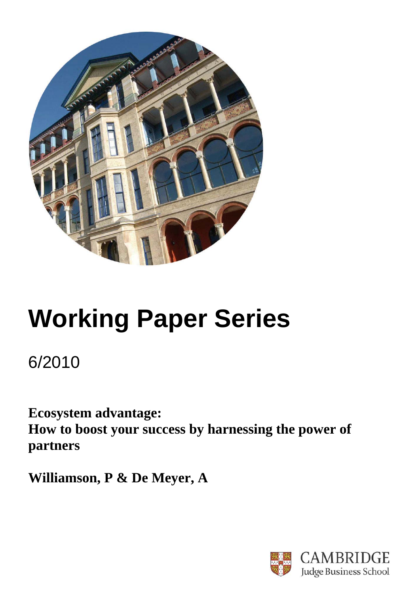

# **Working Paper Series**

6/2010

**Ecosystem advantage: How to boost your success by harnessing the power of partners** 

**Williamson, P & De Meyer, A** 

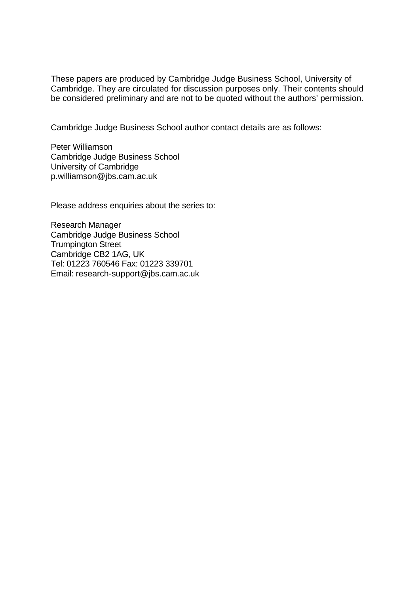These papers are produced by Cambridge Judge Business School, University of Cambridge. They are circulated for discussion purposes only. Their contents should be considered preliminary and are not to be quoted without the authors' permission.

Cambridge Judge Business School author contact details are as follows:

Peter Williamson Cambridge Judge Business School University of Cambridge p.williamson@jbs.cam.ac.uk

Please address enquiries about the series to:

Research Manager Cambridge Judge Business School Trumpington Street Cambridge CB2 1AG, UK Tel: 01223 760546 Fax: 01223 339701 Email: research-support@jbs.cam.ac.uk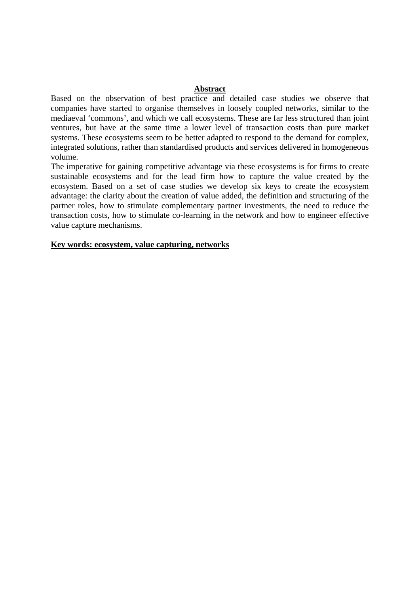### **Abstract**

Based on the observation of best practice and detailed case studies we observe that companies have started to organise themselves in loosely coupled networks, similar to the mediaeval 'commons', and which we call ecosystems. These are far less structured than joint ventures, but have at the same time a lower level of transaction costs than pure market systems. These ecosystems seem to be better adapted to respond to the demand for complex, integrated solutions, rather than standardised products and services delivered in homogeneous volume.

The imperative for gaining competitive advantage via these ecosystems is for firms to create sustainable ecosystems and for the lead firm how to capture the value created by the ecosystem. Based on a set of case studies we develop six keys to create the ecosystem advantage: the clarity about the creation of value added, the definition and structuring of the partner roles, how to stimulate complementary partner investments, the need to reduce the transaction costs, how to stimulate co-learning in the network and how to engineer effective value capture mechanisms.

### **Key words: ecosystem, value capturing, networks**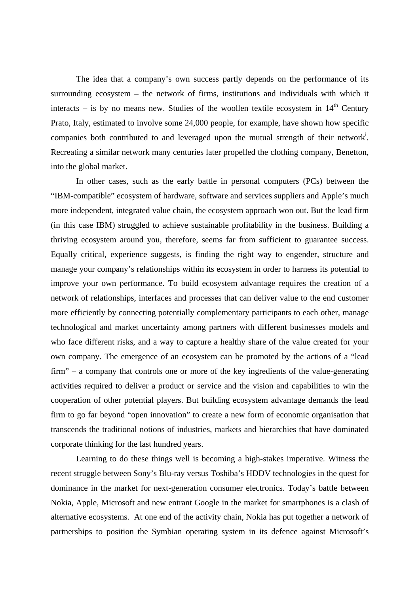The idea that a company's own success partly depends on the performance of its surrounding ecosystem – the network of firms, institutions and individuals with which it interacts – is by no means new. Studies of the woollen textile ecosystem in  $14<sup>th</sup>$  Century Prato, Italy, estimated to involve some 24,000 people, for example, have shown how specific companies both contributed to and leveraged upon the mutual strength of their network<sup>i</sup>. Recreating a similar network many centuries later propelled the clothing company, Benetton, into the global market.

In other cases, such as the early battle in personal computers (PCs) between the "IBM-compatible" ecosystem of hardware, software and services suppliers and Apple's much more independent, integrated value chain, the ecosystem approach won out. But the lead firm (in this case IBM) struggled to achieve sustainable profitability in the business. Building a thriving ecosystem around you, therefore, seems far from sufficient to guarantee success. Equally critical, experience suggests, is finding the right way to engender, structure and manage your company's relationships within its ecosystem in order to harness its potential to improve your own performance. To build ecosystem advantage requires the creation of a network of relationships, interfaces and processes that can deliver value to the end customer more efficiently by connecting potentially complementary participants to each other, manage technological and market uncertainty among partners with different businesses models and who face different risks, and a way to capture a healthy share of the value created for your own company. The emergence of an ecosystem can be promoted by the actions of a "lead firm" – a company that controls one or more of the key ingredients of the value-generating activities required to deliver a product or service and the vision and capabilities to win the cooperation of other potential players. But building ecosystem advantage demands the lead firm to go far beyond "open innovation" to create a new form of economic organisation that transcends the traditional notions of industries, markets and hierarchies that have dominated corporate thinking for the last hundred years.

Learning to do these things well is becoming a high-stakes imperative. Witness the recent struggle between Sony's Blu-ray versus Toshiba's HDDV technologies in the quest for dominance in the market for next-generation consumer electronics. Today's battle between Nokia, Apple, Microsoft and new entrant Google in the market for smartphones is a clash of alternative ecosystems. At one end of the activity chain, Nokia has put together a network of partnerships to position the Symbian operating system in its defence against Microsoft's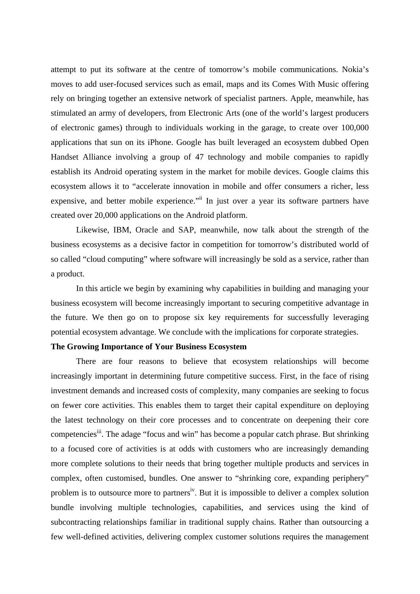attempt to put its software at the centre of tomorrow's mobile communications. Nokia's moves to add user-focused services such as email, maps and its Comes With Music offering rely on bringing together an extensive network of specialist partners. Apple, meanwhile, has stimulated an army of developers, from Electronic Arts (one of the world's largest producers of electronic games) through to individuals working in the garage, to create over 100,000 applications that sun on its iPhone. Google has built leveraged an ecosystem dubbed Open Handset Alliance involving a group of 47 technology and mobile companies to rapidly establish its Android operating system in the market for mobile devices. Google claims this ecosystem allows it to "accelerate innovation in mobile and offer consumers a richer, less expensive, and better mobile experience.<sup>"ii</sup> In just over a year its software partners have created over 20,000 applications on the Android platform.

Likewise, IBM, Oracle and SAP, meanwhile, now talk about the strength of the business ecosystems as a decisive factor in competition for tomorrow's distributed world of so called "cloud computing" where software will increasingly be sold as a service, rather than a product.

In this article we begin by examining why capabilities in building and managing your business ecosystem will become increasingly important to securing competitive advantage in the future. We then go on to propose six key requirements for successfully leveraging potential ecosystem advantage. We conclude with the implications for corporate strategies.

## **The Growing Importance of Your Business Ecosystem**

There are four reasons to believe that ecosystem relationships will become increasingly important in determining future competitive success. First, in the face of rising investment demands and increased costs of complexity, many companies are seeking to focus on fewer core activities. This enables them to target their capital expenditure on deploying the latest technology on their core processes and to concentrate on deepening their core competencies<sup>iii</sup>. The adage "focus and win" has become a popular catch phrase. But shrinking to a focused core of activities is at odds with customers who are increasingly demanding more complete solutions to their needs that bring together multiple products and services in complex, often customised, bundles. One answer to "shrinking core, expanding periphery" problem is to outsource more to partners<sup>iv</sup>. But it is impossible to deliver a complex solution bundle involving multiple technologies, capabilities, and services using the kind of subcontracting relationships familiar in traditional supply chains. Rather than outsourcing a few well-defined activities, delivering complex customer solutions requires the management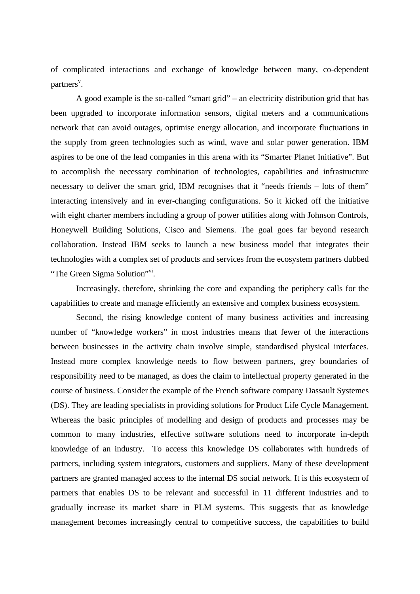of complicated interactions and exchange of knowledge between many, co-dependent partners<sup>v</sup>.

A good example is the so-called "smart grid" – an electricity distribution grid that has been upgraded to incorporate information sensors, digital meters and a communications network that can avoid outages, optimise energy allocation, and incorporate fluctuations in the supply from green technologies such as wind, wave and solar power generation. IBM aspires to be one of the lead companies in this arena with its "Smarter Planet Initiative". But to accomplish the necessary combination of technologies, capabilities and infrastructure necessary to deliver the smart grid, IBM recognises that it "needs friends – lots of them" interacting intensively and in ever-changing configurations. So it kicked off the initiative with eight charter members including a group of power utilities along with Johnson Controls, Honeywell Building Solutions, Cisco and Siemens. The goal goes far beyond research collaboration. Instead IBM seeks to launch a new business model that integrates their technologies with a complex set of products and services from the ecosystem partners dubbed "The Green Sigma Solution"<sup>vi</sup>.

Increasingly, therefore, shrinking the core and expanding the periphery calls for the capabilities to create and manage efficiently an extensive and complex business ecosystem.

Second, the rising knowledge content of many business activities and increasing number of "knowledge workers" in most industries means that fewer of the interactions between businesses in the activity chain involve simple, standardised physical interfaces. Instead more complex knowledge needs to flow between partners, grey boundaries of responsibility need to be managed, as does the claim to intellectual property generated in the course of business. Consider the example of the French software company Dassault Systemes (DS). They are leading specialists in providing solutions for Product Life Cycle Management. Whereas the basic principles of modelling and design of products and processes may be common to many industries, effective software solutions need to incorporate in-depth knowledge of an industry. To access this knowledge DS collaborates with hundreds of partners, including system integrators, customers and suppliers. Many of these development partners are granted managed access to the internal DS social network. It is this ecosystem of partners that enables DS to be relevant and successful in 11 different industries and to gradually increase its market share in PLM systems. This suggests that as knowledge management becomes increasingly central to competitive success, the capabilities to build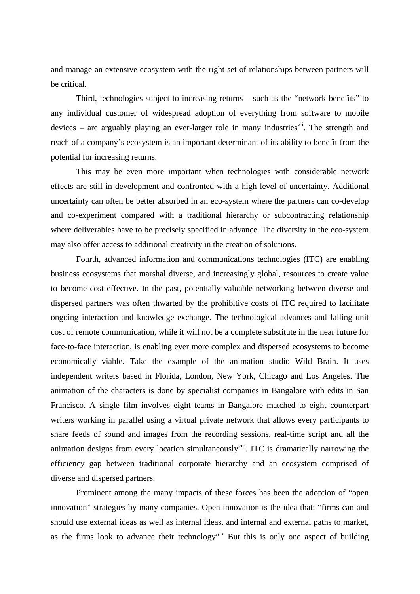and manage an extensive ecosystem with the right set of relationships between partners will be critical.

Third, technologies subject to increasing returns – such as the "network benefits" to any individual customer of widespread adoption of everything from software to mobile devices – are arguably playing an ever-larger role in many industries<sup>vii</sup>. The strength and reach of a company's ecosystem is an important determinant of its ability to benefit from the potential for increasing returns.

This may be even more important when technologies with considerable network effects are still in development and confronted with a high level of uncertainty. Additional uncertainty can often be better absorbed in an eco-system where the partners can co-develop and co-experiment compared with a traditional hierarchy or subcontracting relationship where deliverables have to be precisely specified in advance. The diversity in the eco-system may also offer access to additional creativity in the creation of solutions.

Fourth, advanced information and communications technologies (ITC) are enabling business ecosystems that marshal diverse, and increasingly global, resources to create value to become cost effective. In the past, potentially valuable networking between diverse and dispersed partners was often thwarted by the prohibitive costs of ITC required to facilitate ongoing interaction and knowledge exchange. The technological advances and falling unit cost of remote communication, while it will not be a complete substitute in the near future for face-to-face interaction, is enabling ever more complex and dispersed ecosystems to become economically viable. Take the example of the animation studio Wild Brain. It uses independent writers based in Florida, London, New York, Chicago and Los Angeles. The animation of the characters is done by specialist companies in Bangalore with edits in San Francisco. A single film involves eight teams in Bangalore matched to eight counterpart writers working in parallel using a virtual private network that allows every participants to share feeds of sound and images from the recording sessions, real-time script and all the animation designs from every location simultaneously<sup>viii</sup>. ITC is dramatically narrowing the efficiency gap between traditional corporate hierarchy and an ecosystem comprised of diverse and dispersed partners.

Prominent among the many impacts of these forces has been the adoption of "open innovation" strategies by many companies. Open innovation is the idea that: "firms can and should use external ideas as well as internal ideas, and internal and external paths to market, as the firms look to advance their technology<sup>"ix</sup> But this is only one aspect of building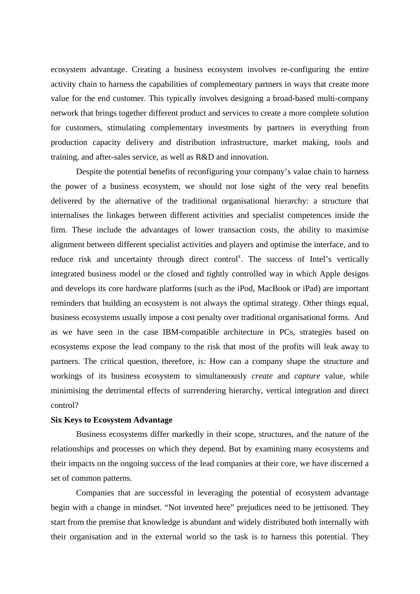ecosystem advantage. Creating a business ecosystem involves re-configuring the entire activity chain to harness the capabilities of complementary partners in ways that create more value for the end customer. This typically involves designing a broad-based multi-company network that brings together different product and services to create a more complete solution for customers, stimulating complementary investments by partners in everything from production capacity delivery and distribution infrastructure, market making, tools and training, and after-sales service, as well as R&D and innovation.

Despite the potential benefits of reconfiguring your company's value chain to harness the power of a business ecosystem, we should not lose sight of the very real benefits delivered by the alternative of the traditional organisational hierarchy: a structure that internalises the linkages between different activities and specialist competences inside the firm. These include the advantages of lower transaction costs, the ability to maximise alignment between different specialist activities and players and optimise the interface, and to reduce risk and uncertainty through direct control<sup>x</sup>. The success of Intel's vertically integrated business model or the closed and tightly controlled way in which Apple designs and develops its core hardware platforms (such as the iPod, MacBook or iPad) are important reminders that building an ecosystem is not always the optimal strategy. Other things equal, business ecosystems usually impose a cost penalty over traditional organisational forms. And as we have seen in the case IBM-compatible architecture in PCs, strategies based on ecosystems expose the lead company to the risk that most of the profits will leak away to partners. The critical question, therefore, is: How can a company shape the structure and workings of its business ecosystem to simultaneously *create* and *capture* value, while minimising the detrimental effects of surrendering hierarchy, vertical integration and direct control?

#### **Six Keys to Ecosystem Advantage**

Business ecosystems differ markedly in their scope, structures, and the nature of the relationships and processes on which they depend. But by examining many ecosystems and their impacts on the ongoing success of the lead companies at their core, we have discerned a set of common patterns.

Companies that are successful in leveraging the potential of ecosystem advantage begin with a change in mindset. "Not invented here" prejudices need to be jettisoned. They start from the premise that knowledge is abundant and widely distributed both internally with their organisation and in the external world so the task is to harness this potential. They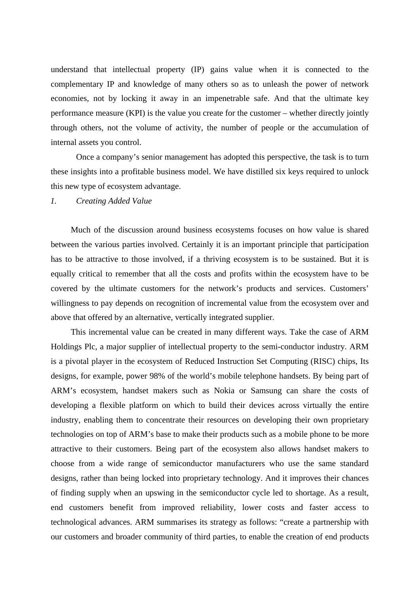understand that intellectual property (IP) gains value when it is connected to the complementary IP and knowledge of many others so as to unleash the power of network economies, not by locking it away in an impenetrable safe. And that the ultimate key performance measure (KPI) is the value you create for the customer – whether directly jointly through others, not the volume of activity, the number of people or the accumulation of internal assets you control.

Once a company's senior management has adopted this perspective, the task is to turn these insights into a profitable business model. We have distilled six keys required to unlock this new type of ecosystem advantage.

#### *1. Creating Added Value*

Much of the discussion around business ecosystems focuses on how value is shared between the various parties involved. Certainly it is an important principle that participation has to be attractive to those involved, if a thriving ecosystem is to be sustained. But it is equally critical to remember that all the costs and profits within the ecosystem have to be covered by the ultimate customers for the network's products and services. Customers' willingness to pay depends on recognition of incremental value from the ecosystem over and above that offered by an alternative, vertically integrated supplier.

This incremental value can be created in many different ways. Take the case of ARM Holdings Plc, a major supplier of intellectual property to the semi-conductor industry. ARM is a pivotal player in the ecosystem of Reduced Instruction Set Computing (RISC) chips, Its designs, for example, power 98% of the world's mobile telephone handsets. By being part of ARM's ecosystem, handset makers such as Nokia or Samsung can share the costs of developing a flexible platform on which to build their devices across virtually the entire industry, enabling them to concentrate their resources on developing their own proprietary technologies on top of ARM's base to make their products such as a mobile phone to be more attractive to their customers. Being part of the ecosystem also allows handset makers to choose from a wide range of semiconductor manufacturers who use the same standard designs, rather than being locked into proprietary technology. And it improves their chances of finding supply when an upswing in the semiconductor cycle led to shortage. As a result, end customers benefit from improved reliability, lower costs and faster access to technological advances. ARM summarises its strategy as follows: "create a partnership with our customers and broader community of third parties, to enable the creation of end products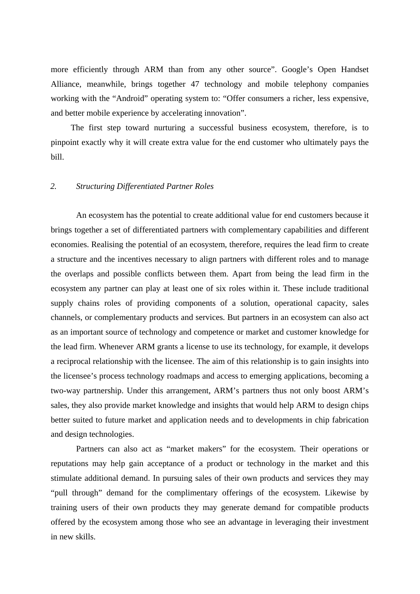more efficiently through ARM than from any other source". Google's Open Handset Alliance, meanwhile, brings together 47 technology and mobile telephony companies working with the "Android" operating system to: "Offer consumers a richer, less expensive, and better mobile experience by accelerating innovation".

The first step toward nurturing a successful business ecosystem, therefore, is to pinpoint exactly why it will create extra value for the end customer who ultimately pays the bill.

## *2. Structuring Differentiated Partner Roles*

An ecosystem has the potential to create additional value for end customers because it brings together a set of differentiated partners with complementary capabilities and different economies. Realising the potential of an ecosystem, therefore, requires the lead firm to create a structure and the incentives necessary to align partners with different roles and to manage the overlaps and possible conflicts between them. Apart from being the lead firm in the ecosystem any partner can play at least one of six roles within it. These include traditional supply chains roles of providing components of a solution, operational capacity, sales channels, or complementary products and services. But partners in an ecosystem can also act as an important source of technology and competence or market and customer knowledge for the lead firm. Whenever ARM grants a license to use its technology, for example, it develops a reciprocal relationship with the licensee. The aim of this relationship is to gain insights into the licensee's process technology roadmaps and access to emerging applications, becoming a two-way partnership. Under this arrangement, ARM's partners thus not only boost ARM's sales, they also provide market knowledge and insights that would help ARM to design chips better suited to future market and application needs and to developments in chip fabrication and design technologies.

Partners can also act as "market makers" for the ecosystem. Their operations or reputations may help gain acceptance of a product or technology in the market and this stimulate additional demand. In pursuing sales of their own products and services they may "pull through" demand for the complimentary offerings of the ecosystem. Likewise by training users of their own products they may generate demand for compatible products offered by the ecosystem among those who see an advantage in leveraging their investment in new skills.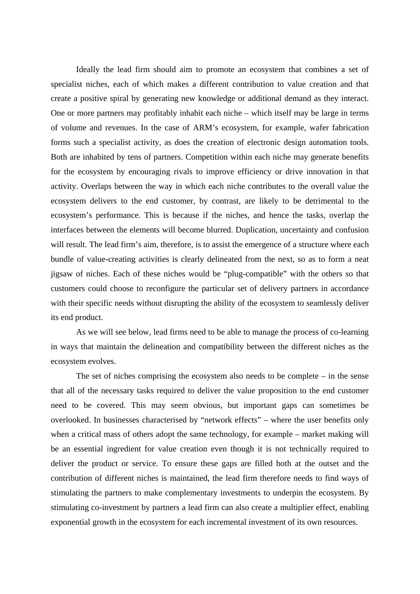Ideally the lead firm should aim to promote an ecosystem that combines a set of specialist niches, each of which makes a different contribution to value creation and that create a positive spiral by generating new knowledge or additional demand as they interact. One or more partners may profitably inhabit each niche – which itself may be large in terms of volume and revenues. In the case of ARM's ecosystem, for example, wafer fabrication forms such a specialist activity, as does the creation of electronic design automation tools. Both are inhabited by tens of partners. Competition within each niche may generate benefits for the ecosystem by encouraging rivals to improve efficiency or drive innovation in that activity. Overlaps between the way in which each niche contributes to the overall value the ecosystem delivers to the end customer, by contrast, are likely to be detrimental to the ecosystem's performance. This is because if the niches, and hence the tasks, overlap the interfaces between the elements will become blurred. Duplication, uncertainty and confusion will result. The lead firm's aim, therefore, is to assist the emergence of a structure where each bundle of value-creating activities is clearly delineated from the next, so as to form a neat jigsaw of niches. Each of these niches would be "plug-compatible" with the others so that customers could choose to reconfigure the particular set of delivery partners in accordance with their specific needs without disrupting the ability of the ecosystem to seamlessly deliver its end product.

As we will see below, lead firms need to be able to manage the process of co-learning in ways that maintain the delineation and compatibility between the different niches as the ecosystem evolves.

The set of niches comprising the ecosystem also needs to be complete – in the sense that all of the necessary tasks required to deliver the value proposition to the end customer need to be covered. This may seem obvious, but important gaps can sometimes be overlooked. In businesses characterised by "network effects" – where the user benefits only when a critical mass of others adopt the same technology, for example – market making will be an essential ingredient for value creation even though it is not technically required to deliver the product or service. To ensure these gaps are filled both at the outset and the contribution of different niches is maintained, the lead firm therefore needs to find ways of stimulating the partners to make complementary investments to underpin the ecosystem. By stimulating co-investment by partners a lead firm can also create a multiplier effect, enabling exponential growth in the ecosystem for each incremental investment of its own resources.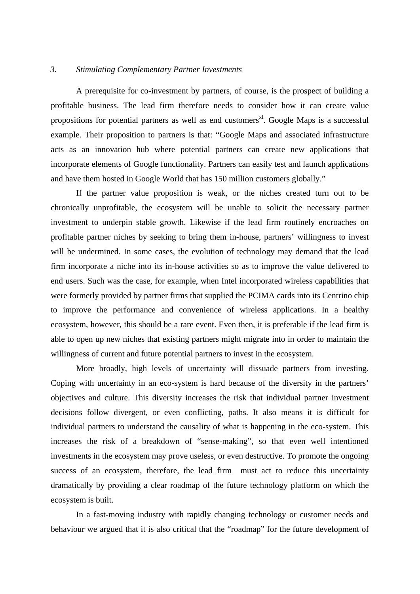## *3. Stimulating Complementary Partner Investments*

A prerequisite for co-investment by partners, of course, is the prospect of building a profitable business. The lead firm therefore needs to consider how it can create value propositions for potential partners as well as end customers<sup>xi</sup>. Google Maps is a successful example. Their proposition to partners is that: "Google Maps and associated infrastructure acts as an innovation hub where potential partners can create new applications that incorporate elements of Google functionality. Partners can easily test and launch applications and have them hosted in Google World that has 150 million customers globally."

If the partner value proposition is weak, or the niches created turn out to be chronically unprofitable, the ecosystem will be unable to solicit the necessary partner investment to underpin stable growth. Likewise if the lead firm routinely encroaches on profitable partner niches by seeking to bring them in-house, partners' willingness to invest will be undermined. In some cases, the evolution of technology may demand that the lead firm incorporate a niche into its in-house activities so as to improve the value delivered to end users. Such was the case, for example, when Intel incorporated wireless capabilities that were formerly provided by partner firms that supplied the PCIMA cards into its Centrino chip to improve the performance and convenience of wireless applications. In a healthy ecosystem, however, this should be a rare event. Even then, it is preferable if the lead firm is able to open up new niches that existing partners might migrate into in order to maintain the willingness of current and future potential partners to invest in the ecosystem.

More broadly, high levels of uncertainty will dissuade partners from investing. Coping with uncertainty in an eco-system is hard because of the diversity in the partners' objectives and culture. This diversity increases the risk that individual partner investment decisions follow divergent, or even conflicting, paths. It also means it is difficult for individual partners to understand the causality of what is happening in the eco-system. This increases the risk of a breakdown of "sense-making", so that even well intentioned investments in the ecosystem may prove useless, or even destructive. To promote the ongoing success of an ecosystem, therefore, the lead firm must act to reduce this uncertainty dramatically by providing a clear roadmap of the future technology platform on which the ecosystem is built.

In a fast-moving industry with rapidly changing technology or customer needs and behaviour we argued that it is also critical that the "roadmap" for the future development of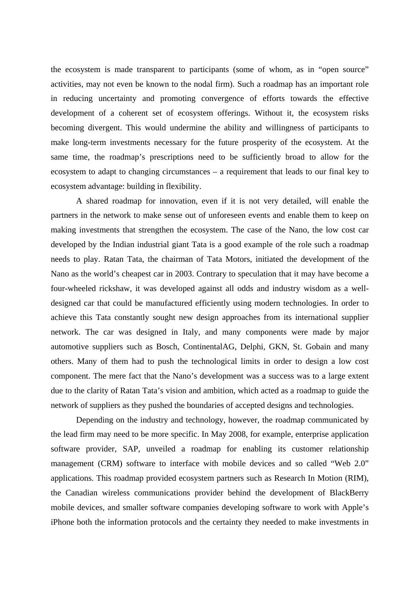the ecosystem is made transparent to participants (some of whom, as in "open source" activities, may not even be known to the nodal firm). Such a roadmap has an important role in reducing uncertainty and promoting convergence of efforts towards the effective development of a coherent set of ecosystem offerings. Without it, the ecosystem risks becoming divergent. This would undermine the ability and willingness of participants to make long-term investments necessary for the future prosperity of the ecosystem. At the same time, the roadmap's prescriptions need to be sufficiently broad to allow for the ecosystem to adapt to changing circumstances – a requirement that leads to our final key to ecosystem advantage: building in flexibility.

A shared roadmap for innovation, even if it is not very detailed, will enable the partners in the network to make sense out of unforeseen events and enable them to keep on making investments that strengthen the ecosystem. The case of the Nano, the low cost car developed by the Indian industrial giant Tata is a good example of the role such a roadmap needs to play. Ratan Tata, the chairman of Tata Motors, initiated the development of the Nano as the world's cheapest car in 2003. Contrary to speculation that it may have become a four-wheeled rickshaw, it was developed against all odds and industry wisdom as a welldesigned car that could be manufactured efficiently using modern technologies. In order to achieve this Tata constantly sought new design approaches from its international supplier network. The car was designed in Italy, and many components were made by major automotive suppliers such as Bosch, ContinentalAG, Delphi, GKN, St. Gobain and many others. Many of them had to push the technological limits in order to design a low cost component. The mere fact that the Nano's development was a success was to a large extent due to the clarity of Ratan Tata's vision and ambition, which acted as a roadmap to guide the network of suppliers as they pushed the boundaries of accepted designs and technologies.

Depending on the industry and technology, however, the roadmap communicated by the lead firm may need to be more specific. In May 2008, for example, enterprise application software provider, SAP, unveiled a roadmap for enabling its customer relationship management (CRM) software to interface with mobile devices and so called "Web 2.0" applications. This roadmap provided ecosystem partners such as Research In Motion (RIM), the Canadian wireless communications provider behind the development of BlackBerry mobile devices, and smaller software companies developing software to work with Apple's iPhone both the information protocols and the certainty they needed to make investments in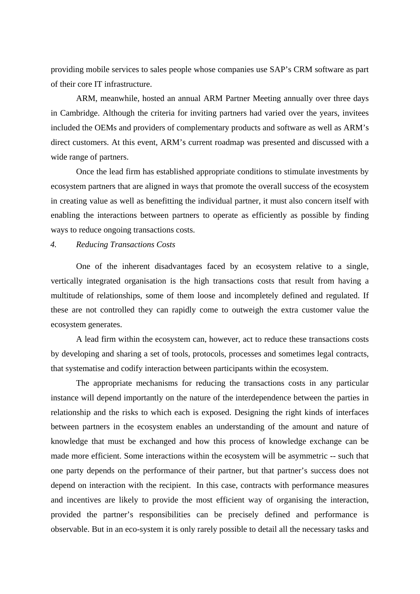providing mobile services to sales people whose companies use SAP's CRM software as part of their core IT infrastructure.

ARM, meanwhile, hosted an annual ARM Partner Meeting annually over three days in Cambridge. Although the criteria for inviting partners had varied over the years, invitees included the OEMs and providers of complementary products and software as well as ARM's direct customers. At this event, ARM's current roadmap was presented and discussed with a wide range of partners.

Once the lead firm has established appropriate conditions to stimulate investments by ecosystem partners that are aligned in ways that promote the overall success of the ecosystem in creating value as well as benefitting the individual partner, it must also concern itself with enabling the interactions between partners to operate as efficiently as possible by finding ways to reduce ongoing transactions costs.

## *4. Reducing Transactions Costs*

One of the inherent disadvantages faced by an ecosystem relative to a single, vertically integrated organisation is the high transactions costs that result from having a multitude of relationships, some of them loose and incompletely defined and regulated. If these are not controlled they can rapidly come to outweigh the extra customer value the ecosystem generates.

A lead firm within the ecosystem can, however, act to reduce these transactions costs by developing and sharing a set of tools, protocols, processes and sometimes legal contracts, that systematise and codify interaction between participants within the ecosystem.

The appropriate mechanisms for reducing the transactions costs in any particular instance will depend importantly on the nature of the interdependence between the parties in relationship and the risks to which each is exposed. Designing the right kinds of interfaces between partners in the ecosystem enables an understanding of the amount and nature of knowledge that must be exchanged and how this process of knowledge exchange can be made more efficient. Some interactions within the ecosystem will be asymmetric -- such that one party depends on the performance of their partner, but that partner's success does not depend on interaction with the recipient. In this case, contracts with performance measures and incentives are likely to provide the most efficient way of organising the interaction, provided the partner's responsibilities can be precisely defined and performance is observable. But in an eco-system it is only rarely possible to detail all the necessary tasks and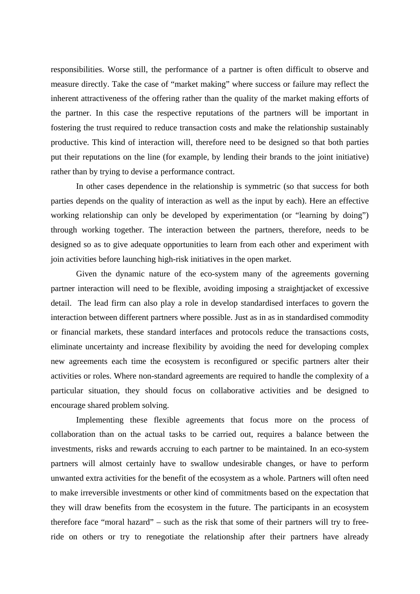responsibilities. Worse still, the performance of a partner is often difficult to observe and measure directly. Take the case of "market making" where success or failure may reflect the inherent attractiveness of the offering rather than the quality of the market making efforts of the partner. In this case the respective reputations of the partners will be important in fostering the trust required to reduce transaction costs and make the relationship sustainably productive. This kind of interaction will, therefore need to be designed so that both parties put their reputations on the line (for example, by lending their brands to the joint initiative) rather than by trying to devise a performance contract.

In other cases dependence in the relationship is symmetric (so that success for both parties depends on the quality of interaction as well as the input by each). Here an effective working relationship can only be developed by experimentation (or "learning by doing") through working together. The interaction between the partners, therefore, needs to be designed so as to give adequate opportunities to learn from each other and experiment with join activities before launching high-risk initiatives in the open market.

Given the dynamic nature of the eco-system many of the agreements governing partner interaction will need to be flexible, avoiding imposing a straightjacket of excessive detail. The lead firm can also play a role in develop standardised interfaces to govern the interaction between different partners where possible. Just as in as in standardised commodity or financial markets, these standard interfaces and protocols reduce the transactions costs, eliminate uncertainty and increase flexibility by avoiding the need for developing complex new agreements each time the ecosystem is reconfigured or specific partners alter their activities or roles. Where non-standard agreements are required to handle the complexity of a particular situation, they should focus on collaborative activities and be designed to encourage shared problem solving.

Implementing these flexible agreements that focus more on the process of collaboration than on the actual tasks to be carried out, requires a balance between the investments, risks and rewards accruing to each partner to be maintained. In an eco-system partners will almost certainly have to swallow undesirable changes, or have to perform unwanted extra activities for the benefit of the ecosystem as a whole. Partners will often need to make irreversible investments or other kind of commitments based on the expectation that they will draw benefits from the ecosystem in the future. The participants in an ecosystem therefore face "moral hazard" – such as the risk that some of their partners will try to freeride on others or try to renegotiate the relationship after their partners have already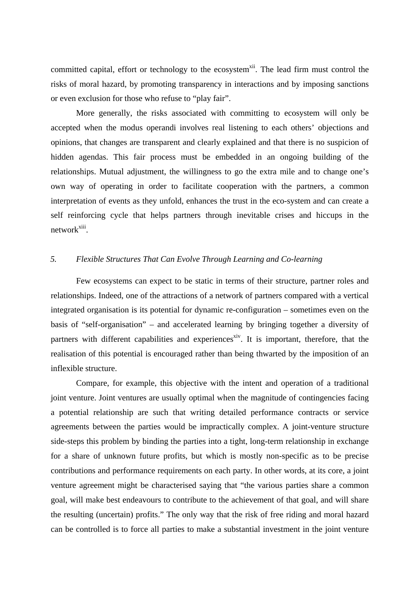committed capital, effort or technology to the ecosystem<sup>xii</sup>. The lead firm must control the risks of moral hazard, by promoting transparency in interactions and by imposing sanctions or even exclusion for those who refuse to "play fair".

More generally, the risks associated with committing to ecosystem will only be accepted when the modus operandi involves real listening to each others' objections and opinions, that changes are transparent and clearly explained and that there is no suspicion of hidden agendas. This fair process must be embedded in an ongoing building of the relationships. Mutual adjustment, the willingness to go the extra mile and to change one's own way of operating in order to facilitate cooperation with the partners, a common interpretation of events as they unfold, enhances the trust in the eco-system and can create a self reinforcing cycle that helps partners through inevitable crises and hiccups in the network<sup>xiii</sup>.

# *5. Flexible Structures That Can Evolve Through Learning and Co-learning*

Few ecosystems can expect to be static in terms of their structure, partner roles and relationships. Indeed, one of the attractions of a network of partners compared with a vertical integrated organisation is its potential for dynamic re-configuration – sometimes even on the basis of "self-organisation" – and accelerated learning by bringing together a diversity of partners with different capabilities and experiences<sup>xiv</sup>. It is important, therefore, that the realisation of this potential is encouraged rather than being thwarted by the imposition of an inflexible structure.

Compare, for example, this objective with the intent and operation of a traditional joint venture. Joint ventures are usually optimal when the magnitude of contingencies facing a potential relationship are such that writing detailed performance contracts or service agreements between the parties would be impractically complex. A joint-venture structure side-steps this problem by binding the parties into a tight, long-term relationship in exchange for a share of unknown future profits, but which is mostly non-specific as to be precise contributions and performance requirements on each party. In other words, at its core, a joint venture agreement might be characterised saying that "the various parties share a common goal, will make best endeavours to contribute to the achievement of that goal, and will share the resulting (uncertain) profits." The only way that the risk of free riding and moral hazard can be controlled is to force all parties to make a substantial investment in the joint venture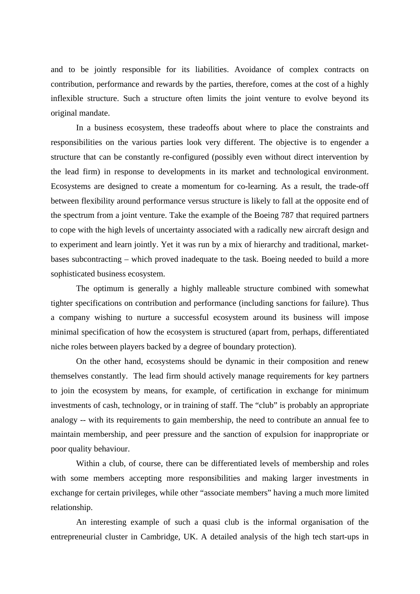and to be jointly responsible for its liabilities. Avoidance of complex contracts on contribution, performance and rewards by the parties, therefore, comes at the cost of a highly inflexible structure. Such a structure often limits the joint venture to evolve beyond its original mandate.

In a business ecosystem, these tradeoffs about where to place the constraints and responsibilities on the various parties look very different. The objective is to engender a structure that can be constantly re-configured (possibly even without direct intervention by the lead firm) in response to developments in its market and technological environment. Ecosystems are designed to create a momentum for co-learning. As a result, the trade-off between flexibility around performance versus structure is likely to fall at the opposite end of the spectrum from a joint venture. Take the example of the Boeing 787 that required partners to cope with the high levels of uncertainty associated with a radically new aircraft design and to experiment and learn jointly. Yet it was run by a mix of hierarchy and traditional, marketbases subcontracting – which proved inadequate to the task. Boeing needed to build a more sophisticated business ecosystem.

The optimum is generally a highly malleable structure combined with somewhat tighter specifications on contribution and performance (including sanctions for failure). Thus a company wishing to nurture a successful ecosystem around its business will impose minimal specification of how the ecosystem is structured (apart from, perhaps, differentiated niche roles between players backed by a degree of boundary protection).

On the other hand, ecosystems should be dynamic in their composition and renew themselves constantly. The lead firm should actively manage requirements for key partners to join the ecosystem by means, for example, of certification in exchange for minimum investments of cash, technology, or in training of staff. The "club" is probably an appropriate analogy -- with its requirements to gain membership, the need to contribute an annual fee to maintain membership, and peer pressure and the sanction of expulsion for inappropriate or poor quality behaviour.

Within a club, of course, there can be differentiated levels of membership and roles with some members accepting more responsibilities and making larger investments in exchange for certain privileges, while other "associate members" having a much more limited relationship.

An interesting example of such a quasi club is the informal organisation of the entrepreneurial cluster in Cambridge, UK. A detailed analysis of the high tech start-ups in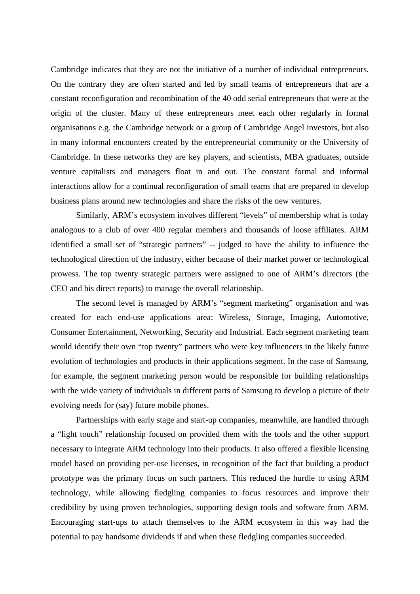Cambridge indicates that they are not the initiative of a number of individual entrepreneurs. On the contrary they are often started and led by small teams of entrepreneurs that are a constant reconfiguration and recombination of the 40 odd serial entrepreneurs that were at the origin of the cluster. Many of these entrepreneurs meet each other regularly in formal organisations e.g. the Cambridge network or a group of Cambridge Angel investors, but also in many informal encounters created by the entrepreneurial community or the University of Cambridge. In these networks they are key players, and scientists, MBA graduates, outside venture capitalists and managers float in and out. The constant formal and informal interactions allow for a continual reconfiguration of small teams that are prepared to develop business plans around new technologies and share the risks of the new ventures.

Similarly, ARM's ecosystem involves different "levels" of membership what is today analogous to a club of over 400 regular members and thousands of loose affiliates. ARM identified a small set of "strategic partners" -- judged to have the ability to influence the technological direction of the industry, either because of their market power or technological prowess. The top twenty strategic partners were assigned to one of ARM's directors (the CEO and his direct reports) to manage the overall relationship.

The second level is managed by ARM's "segment marketing" organisation and was created for each end-use applications area: Wireless, Storage, Imaging, Automotive, Consumer Entertainment, Networking, Security and Industrial. Each segment marketing team would identify their own "top twenty" partners who were key influencers in the likely future evolution of technologies and products in their applications segment. In the case of Samsung, for example, the segment marketing person would be responsible for building relationships with the wide variety of individuals in different parts of Samsung to develop a picture of their evolving needs for (say) future mobile phones.

Partnerships with early stage and start-up companies, meanwhile, are handled through a "light touch" relationship focused on provided them with the tools and the other support necessary to integrate ARM technology into their products. It also offered a flexible licensing model based on providing per-use licenses, in recognition of the fact that building a product prototype was the primary focus on such partners. This reduced the hurdle to using ARM technology, while allowing fledgling companies to focus resources and improve their credibility by using proven technologies, supporting design tools and software from ARM. Encouraging start-ups to attach themselves to the ARM ecosystem in this way had the potential to pay handsome dividends if and when these fledgling companies succeeded.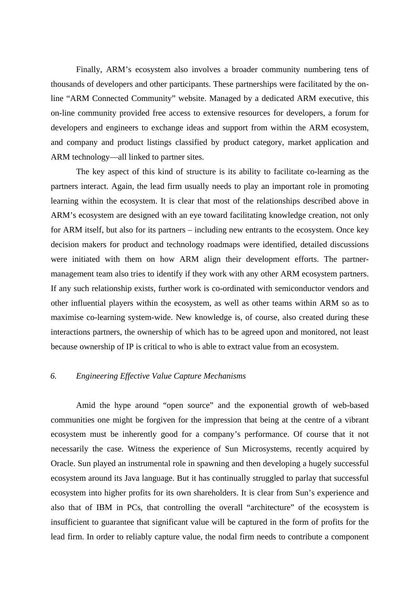Finally, ARM's ecosystem also involves a broader community numbering tens of thousands of developers and other participants. These partnerships were facilitated by the online "ARM Connected Community" website. Managed by a dedicated ARM executive, this on-line community provided free access to extensive resources for developers, a forum for developers and engineers to exchange ideas and support from within the ARM ecosystem, and company and product listings classified by product category, market application and ARM technology—all linked to partner sites.

The key aspect of this kind of structure is its ability to facilitate co-learning as the partners interact. Again, the lead firm usually needs to play an important role in promoting learning within the ecosystem. It is clear that most of the relationships described above in ARM's ecosystem are designed with an eye toward facilitating knowledge creation, not only for ARM itself, but also for its partners – including new entrants to the ecosystem. Once key decision makers for product and technology roadmaps were identified, detailed discussions were initiated with them on how ARM align their development efforts. The partnermanagement team also tries to identify if they work with any other ARM ecosystem partners. If any such relationship exists, further work is co-ordinated with semiconductor vendors and other influential players within the ecosystem, as well as other teams within ARM so as to maximise co-learning system-wide. New knowledge is, of course, also created during these interactions partners, the ownership of which has to be agreed upon and monitored, not least because ownership of IP is critical to who is able to extract value from an ecosystem.

## *6. Engineering Effective Value Capture Mechanisms*

Amid the hype around "open source" and the exponential growth of web-based communities one might be forgiven for the impression that being at the centre of a vibrant ecosystem must be inherently good for a company's performance. Of course that it not necessarily the case. Witness the experience of Sun Microsystems, recently acquired by Oracle. Sun played an instrumental role in spawning and then developing a hugely successful ecosystem around its Java language. But it has continually struggled to parlay that successful ecosystem into higher profits for its own shareholders. It is clear from Sun's experience and also that of IBM in PCs, that controlling the overall "architecture" of the ecosystem is insufficient to guarantee that significant value will be captured in the form of profits for the lead firm. In order to reliably capture value, the nodal firm needs to contribute a component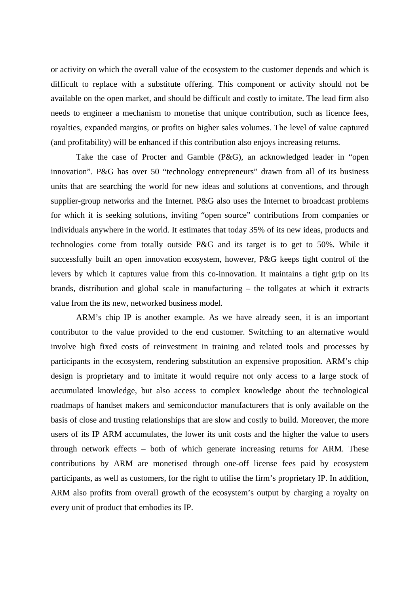or activity on which the overall value of the ecosystem to the customer depends and which is difficult to replace with a substitute offering. This component or activity should not be available on the open market, and should be difficult and costly to imitate. The lead firm also needs to engineer a mechanism to monetise that unique contribution, such as licence fees, royalties, expanded margins, or profits on higher sales volumes. The level of value captured (and profitability) will be enhanced if this contribution also enjoys increasing returns.

Take the case of Procter and Gamble (P&G), an acknowledged leader in "open innovation". P&G has over 50 "technology entrepreneurs" drawn from all of its business units that are searching the world for new ideas and solutions at conventions, and through supplier-group networks and the Internet. P&G also uses the Internet to broadcast problems for which it is seeking solutions, inviting "open source" contributions from companies or individuals anywhere in the world. It estimates that today 35% of its new ideas, products and technologies come from totally outside P&G and its target is to get to 50%. While it successfully built an open innovation ecosystem, however, P&G keeps tight control of the levers by which it captures value from this co-innovation. It maintains a tight grip on its brands, distribution and global scale in manufacturing – the tollgates at which it extracts value from the its new, networked business model.

ARM's chip IP is another example. As we have already seen, it is an important contributor to the value provided to the end customer. Switching to an alternative would involve high fixed costs of reinvestment in training and related tools and processes by participants in the ecosystem, rendering substitution an expensive proposition. ARM's chip design is proprietary and to imitate it would require not only access to a large stock of accumulated knowledge, but also access to complex knowledge about the technological roadmaps of handset makers and semiconductor manufacturers that is only available on the basis of close and trusting relationships that are slow and costly to build. Moreover, the more users of its IP ARM accumulates, the lower its unit costs and the higher the value to users through network effects – both of which generate increasing returns for ARM. These contributions by ARM are monetised through one-off license fees paid by ecosystem participants, as well as customers, for the right to utilise the firm's proprietary IP. In addition, ARM also profits from overall growth of the ecosystem's output by charging a royalty on every unit of product that embodies its IP.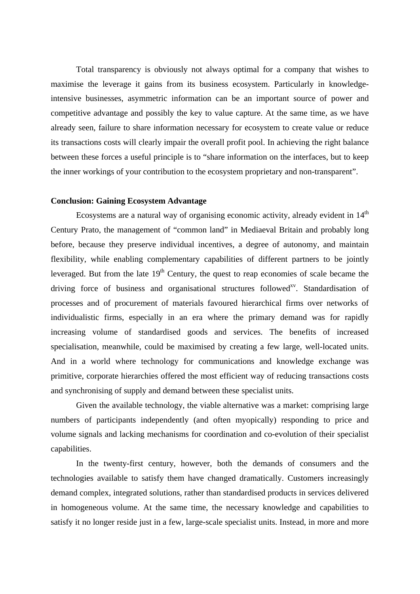Total transparency is obviously not always optimal for a company that wishes to maximise the leverage it gains from its business ecosystem. Particularly in knowledgeintensive businesses, asymmetric information can be an important source of power and competitive advantage and possibly the key to value capture. At the same time, as we have already seen, failure to share information necessary for ecosystem to create value or reduce its transactions costs will clearly impair the overall profit pool. In achieving the right balance between these forces a useful principle is to "share information on the interfaces, but to keep the inner workings of your contribution to the ecosystem proprietary and non-transparent".

#### **Conclusion: Gaining Ecosystem Advantage**

Ecosystems are a natural way of organising economic activity, already evident in  $14<sup>th</sup>$ Century Prato, the management of "common land" in Mediaeval Britain and probably long before, because they preserve individual incentives, a degree of autonomy, and maintain flexibility, while enabling complementary capabilities of different partners to be jointly leveraged. But from the late  $19<sup>th</sup>$  Century, the quest to reap economies of scale became the driving force of business and organisational structures followed<sup>xv</sup>. Standardisation of processes and of procurement of materials favoured hierarchical firms over networks of individualistic firms, especially in an era where the primary demand was for rapidly increasing volume of standardised goods and services. The benefits of increased specialisation, meanwhile, could be maximised by creating a few large, well-located units. And in a world where technology for communications and knowledge exchange was primitive, corporate hierarchies offered the most efficient way of reducing transactions costs and synchronising of supply and demand between these specialist units.

Given the available technology, the viable alternative was a market: comprising large numbers of participants independently (and often myopically) responding to price and volume signals and lacking mechanisms for coordination and co-evolution of their specialist capabilities.

In the twenty-first century, however, both the demands of consumers and the technologies available to satisfy them have changed dramatically. Customers increasingly demand complex, integrated solutions, rather than standardised products in services delivered in homogeneous volume. At the same time, the necessary knowledge and capabilities to satisfy it no longer reside just in a few, large-scale specialist units. Instead, in more and more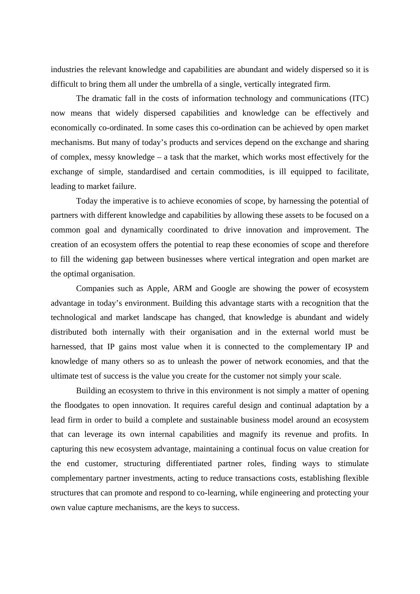industries the relevant knowledge and capabilities are abundant and widely dispersed so it is difficult to bring them all under the umbrella of a single, vertically integrated firm.

The dramatic fall in the costs of information technology and communications (ITC) now means that widely dispersed capabilities and knowledge can be effectively and economically co-ordinated. In some cases this co-ordination can be achieved by open market mechanisms. But many of today's products and services depend on the exchange and sharing of complex, messy knowledge – a task that the market, which works most effectively for the exchange of simple, standardised and certain commodities, is ill equipped to facilitate, leading to market failure.

Today the imperative is to achieve economies of scope, by harnessing the potential of partners with different knowledge and capabilities by allowing these assets to be focused on a common goal and dynamically coordinated to drive innovation and improvement. The creation of an ecosystem offers the potential to reap these economies of scope and therefore to fill the widening gap between businesses where vertical integration and open market are the optimal organisation.

Companies such as Apple, ARM and Google are showing the power of ecosystem advantage in today's environment. Building this advantage starts with a recognition that the technological and market landscape has changed, that knowledge is abundant and widely distributed both internally with their organisation and in the external world must be harnessed, that IP gains most value when it is connected to the complementary IP and knowledge of many others so as to unleash the power of network economies, and that the ultimate test of success is the value you create for the customer not simply your scale.

Building an ecosystem to thrive in this environment is not simply a matter of opening the floodgates to open innovation. It requires careful design and continual adaptation by a lead firm in order to build a complete and sustainable business model around an ecosystem that can leverage its own internal capabilities and magnify its revenue and profits. In capturing this new ecosystem advantage, maintaining a continual focus on value creation for the end customer, structuring differentiated partner roles, finding ways to stimulate complementary partner investments, acting to reduce transactions costs, establishing flexible structures that can promote and respond to co-learning, while engineering and protecting your own value capture mechanisms, are the keys to success.